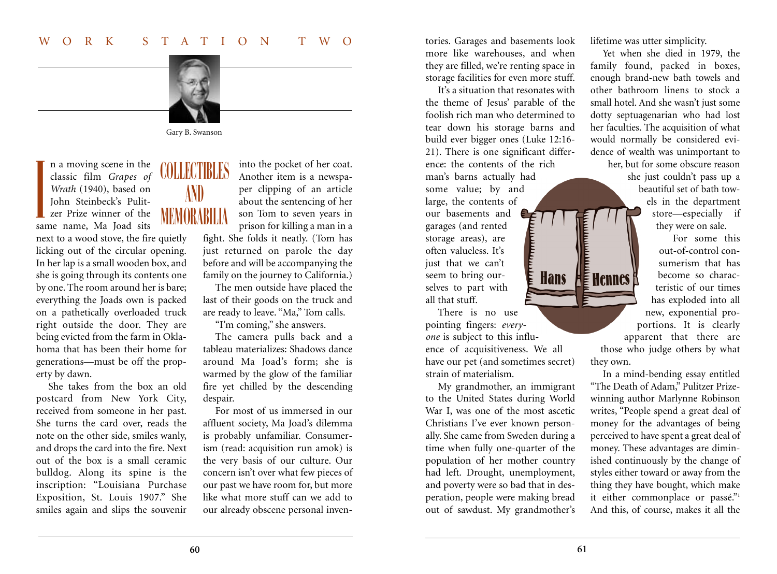

Gary B. Swanson

n a moving scene in the n a moving scene in the<br>classic film *Grapes of* COLLECTIBLES *Wrath* (1940), based on John Steinbeck's Pulitzer Prize winner of the same name, Ma Joad sits I

next to a wood stove, the fire quietly licking out of the circular opening. In her lap is a small wooden box, and she is going through its contents one by one. The room around her is bare; everything the Joads own is packed on a pathetically overloaded truck right outside the door. They are being evicted from the farm in Oklahoma that has been their home for generations—must be off the property by dawn.

She takes from the box an old postcard from New York City, received from someone in her past. She turns the card over, reads the note on the other side, smiles wanly, and drops the card into the fire. Next out of the box is a small ceramic bulldog. Along its spine is the inscription: "Louisiana Purchase Exposition, St. Louis 1907." She smiles again and slips the souvenir

AND MEMORABILIA

into the pocket of her coat. Another item is a newspaper clipping of an article about the sentencing of her son Tom to seven years in prison for killing a man in a

fight. She folds it neatly. (Tom has just returned on parole the day before and will be accompanying the family on the journey to California.)

The men outside have placed the last of their goods on the truck and are ready to leave. "Ma," Tom calls.

"I'm coming," she answers.

The camera pulls back and a tableau materializes: Shadows dance around Ma Joad's form; she is warmed by the glow of the familiar fire yet chilled by the descending despair.

For most of us immersed in our affluent society, Ma Joad's dilemma is probably unfamiliar. Consumerism (read: acquisition run amok) is the very basis of our culture. Our concern isn't over what few pieces of our past we have room for, but more like what more stuff can we add to our already obscene personal inventories. Garages and basements look more like warehouses, and when they are filled, we're renting space in storage facilities for even more stuff.

It's a situation that resonates with the theme of Jesus' parable of the foolish rich man who determined to tear down his storage barns and build ever bigger ones (Luke 12:16- 21). There is one significant difference: the contents of the rich man's barns actually had

some value; by and large, the contents of our basements and garages (and rented storage areas), are often valueless. It's just that we can't

seem to bring ourselves to part with all that stuff.

There is no use pointing fingers: *everyone* is subject to this influence of acquisitiveness. We all have our pet (and sometimes secret) strain of materialism.

**Hans** 

My grandmother, an immigrant to the United States during World War I, was one of the most ascetic Christians I've ever known personally. She came from Sweden during a time when fully one-quarter of the population of her mother country had left. Drought, unemployment, and poverty were so bad that in desperation, people were making bread out of sawdust. My grandmother's

lifetime was utter simplicity.

Yet when she died in 1979, the family found, packed in boxes, enough brand-new bath towels and other bathroom linens to stock a small hotel. And she wasn't just some dotty septuagenarian who had lost her faculties. The acquisition of what would normally be considered evidence of wealth was unimportant to her, but for some obscure reason she just couldn't pass up a

beautiful set of bath towels in the department store—especially if they were on sale.

For some this out-of-control consumerism that has become so characteristic of our times has exploded into all new, exponential proportions. It is clearly apparent that there are those who judge others by what

In a mind-bending essay entitled "The Death of Adam," Pulitzer Prizewinning author Marlynne Robinson writes, "People spend a great deal of money for the advantages of being perceived to have spent a great deal of money. These advantages are diminished continuously by the change of styles either toward or away from the thing they have bought, which make it either commonplace or passé."1 And this, of course, makes it all the

they own.

 $H \in$  Hennes f